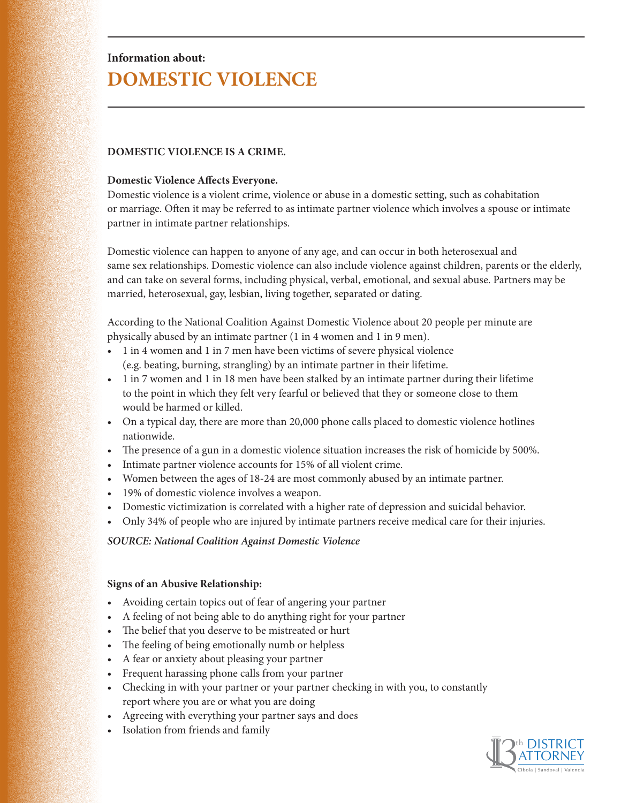# **Information about: DOMESTIC VIOLENCE**

## **DOMESTIC VIOLENCE IS A CRIME.**

### **Domestic Violence Affects Everyone.**

Domestic violence is a violent crime, violence or abuse in a domestic setting, such as cohabitation or marriage. Often it may be referred to as intimate partner violence which involves a spouse or intimate partner in intimate partner relationships.

Domestic violence can happen to anyone of any age, and can occur in both heterosexual and same sex relationships. Domestic violence can also include violence against children, parents or the elderly, and can take on several forms, including physical, verbal, emotional, and sexual abuse. Partners may be married, heterosexual, gay, lesbian, living together, separated or dating.

According to the National Coalition Against Domestic Violence about 20 people per minute are physically abused by an intimate partner (1 in 4 women and 1 in 9 men).

- 1 in 4 women and 1 in 7 men have been victims of severe physical violence (e.g. beating, burning, strangling) by an intimate partner in their lifetime.
- 1 in 7 women and 1 in 18 men have been stalked by an intimate partner during their lifetime to the point in which they felt very fearful or believed that they or someone close to them would be harmed or killed.
- On a typical day, there are more than 20,000 phone calls placed to domestic violence hotlines nationwide.
- The presence of a gun in a domestic violence situation increases the risk of homicide by 500%.
- Intimate partner violence accounts for 15% of all violent crime.
- Women between the ages of 18-24 are most commonly abused by an intimate partner.
- 19% of domestic violence involves a weapon.
- Domestic victimization is correlated with a higher rate of depression and suicidal behavior.
- Only 34% of people who are injured by intimate partners receive medical care for their injuries.

## *SOURCE: National Coalition Against Domestic Violence*

## **Signs of an Abusive Relationship:**

- Avoiding certain topics out of fear of angering your partner
- A feeling of not being able to do anything right for your partner
- The belief that you deserve to be mistreated or hurt
- The feeling of being emotionally numb or helpless
- A fear or anxiety about pleasing your partner
- Frequent harassing phone calls from your partner
- Checking in with your partner or your partner checking in with you, to constantly report where you are or what you are doing
- Agreeing with everything your partner says and does
- Isolation from friends and family